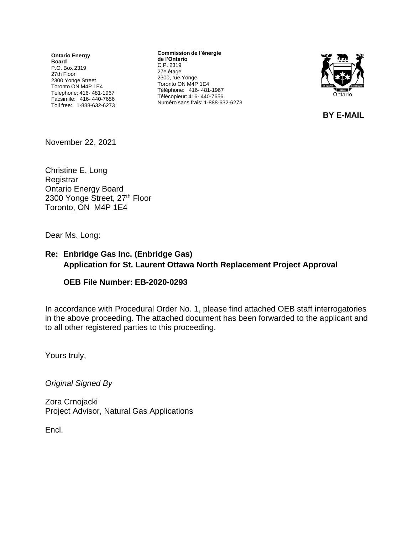**Ontario Energy Board** P.O. Box 2319 27th Floor 2300 Yonge Street Toronto ON M4P 1E4 Telephone: 416- 481-1967 Facsimile: 416- 440-7656 Toll free: 1-888-632-6273

**Commission de l'énergie de l'Ontario** C.P. 2319 27e étage 2300, rue Yonge Toronto ON M4P 1E4 Téléphone: 416- 481-1967 Télécopieur: 416- 440-7656 Numéro sans frais: 1-888-632-6273



**BY E-MAIL**

November 22, 2021

Christine E. Long **Registrar** Ontario Energy Board 2300 Yonge Street, 27th Floor Toronto, ON M4P 1E4

Dear Ms. Long:

#### **Re: Enbridge Gas Inc. (Enbridge Gas) Application for St. Laurent Ottawa North Replacement Project Approval**

#### **OEB File Number: EB-2020-0293**

In accordance with Procedural Order No. 1, please find attached OEB staff interrogatories in the above proceeding. The attached document has been forwarded to the applicant and to all other registered parties to this proceeding.

Yours truly,

*Original Signed By*

Zora Crnojacki Project Advisor, Natural Gas Applications

Encl.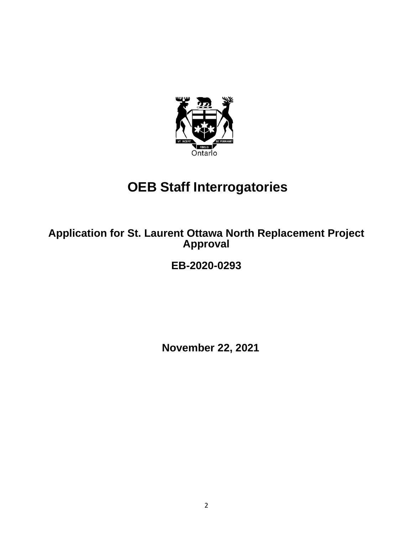

# **OEB Staff Interrogatories**

**Application for St. Laurent Ottawa North Replacement Project Approval**

# **EB-2020-0293**

**November 22, 2021**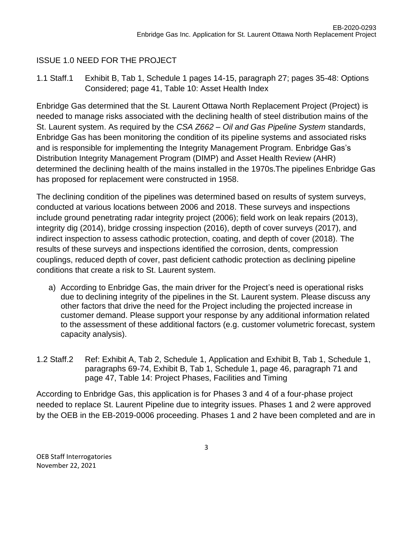### ISSUE 1.0 NEED FOR THE PROJECT

1.1 Staff.1 Exhibit B, Tab 1, Schedule 1 pages 14-15, paragraph 27; pages 35-48: Options Considered; page 41, Table 10: Asset Health Index

Enbridge Gas determined that the St. Laurent Ottawa North Replacement Project (Project) is needed to manage risks associated with the declining health of steel distribution mains of the St. Laurent system. As required by the *CSA Z662 – Oil and Gas Pipeline System* standards, Enbridge Gas has been monitoring the condition of its pipeline systems and associated risks and is responsible for implementing the Integrity Management Program. Enbridge Gas's Distribution Integrity Management Program (DIMP) and Asset Health Review (AHR) determined the declining health of the mains installed in the 1970s.The pipelines Enbridge Gas has proposed for replacement were constructed in 1958.

The declining condition of the pipelines was determined based on results of system surveys, conducted at various locations between 2006 and 2018. These surveys and inspections include ground penetrating radar integrity project (2006); field work on leak repairs (2013), integrity dig (2014), bridge crossing inspection (2016), depth of cover surveys (2017), and indirect inspection to assess cathodic protection, coating, and depth of cover (2018). The results of these surveys and inspections identified the corrosion, dents, compression couplings, reduced depth of cover, past deficient cathodic protection as declining pipeline conditions that create a risk to St. Laurent system.

- a) According to Enbridge Gas, the main driver for the Project's need is operational risks due to declining integrity of the pipelines in the St. Laurent system. Please discuss any other factors that drive the need for the Project including the projected increase in customer demand. Please support your response by any additional information related to the assessment of these additional factors (e.g. customer volumetric forecast, system capacity analysis).
- 1.2 Staff.2 Ref: Exhibit A, Tab 2, Schedule 1, Application and Exhibit B, Tab 1, Schedule 1, paragraphs 69-74, Exhibit B, Tab 1, Schedule 1, page 46, paragraph 71 and page 47, Table 14: Project Phases, Facilities and Timing

According to Enbridge Gas, this application is for Phases 3 and 4 of a four-phase project needed to replace St. Laurent Pipeline due to integrity issues. Phases 1 and 2 were approved by the OEB in the EB-2019-0006 proceeding. Phases 1 and 2 have been completed and are in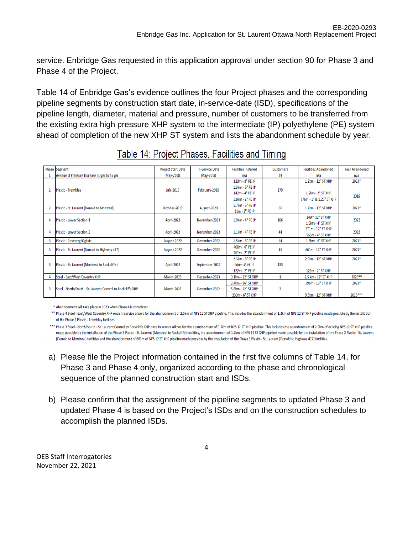service. Enbridge Gas requested in this application approval under section 90 for Phase 3 and Phase 4 of the Project.

Table 14 of Enbridge Gas's evidence outlines the four Project phases and the corresponding pipeline segments by construction start date, in-service-date (ISD), specifications of the pipeline length, diameter, material and pressure, number of customers to be transferred from the existing extra high pressure XHP system to the intermediate (IP) polyethylene (PE) system ahead of completion of the new XHP ST system and lists the abandonment schedule by year.

|                | <b>Phase Segment</b>                                        | <b>Project Start Date</b> | <b>In-Service Date</b> | <b>Facilities Installed</b> | <b>Customers</b> | <b>Facilities Abandoned</b> | <b>Year Abandoned</b> |
|----------------|-------------------------------------------------------------|---------------------------|------------------------|-----------------------------|------------------|-----------------------------|-----------------------|
|                | Avenue O Pressure Increase 30 psi to 45 psi                 | May-2018                  | May-2018               | n/a                         | 29               | n/a                         | n/a                   |
|                |                                                             |                           |                        | 123m - 8" PE IP             |                  | 1.2km - 12" ST XHP          | 2023*                 |
|                | Plastic - Tremblay                                          | <b>July-2019</b>          | February-2020          | 1.3km - 6" PE IP            | 179              |                             |                       |
|                |                                                             |                           |                        | 142m - 4" PE IP             |                  | 1.2km - 2" ST XHP           | 2019                  |
|                |                                                             |                           |                        | 1.8km - 2" PE IP            |                  | 776m - 1" & 1.25" ST XHP    |                       |
| $\overline{2}$ |                                                             | October-2019              |                        | 1.7km - 6" PE IP            | 66               | 1.7km - 12" ST XHP          | 2023*                 |
|                | Plastic - St. Laurent (Donald to Montreal)                  |                           | August-2020            | 11m - 2" PE IP              |                  |                             |                       |
|                | Plastic - Lower Section 1                                   | <b>April-2023</b>         | November-2023          | 1.9km - 4" PE IP            | 186              | 149m 12" ST XHP             | 2023                  |
|                |                                                             |                           |                        |                             |                  | 1.9km - 4" ST XHP           |                       |
|                |                                                             |                           |                        | $1.1km - 4n$ PE IP          | 44               | 371m - 12" ST XHP           | 2023                  |
|                | <b>Plastic - Lower Section 2</b>                            | <b>April-2023</b>         | November-2023          |                             |                  | 565m - 4" ST XHP            |                       |
| 3              | Plastic - Coventry/Ogilvie                                  | August-2022               | December-2022          | 1.5km - 6" PE IP            | 14               | 1.5km - 6" ST XHP           | 2023*                 |
| 3              | Plastic - St. Laurent (Donald to Highway 417)               | August-2022               | December-2022          | 400m - 6" PE IP             | 45               | 661m - 12" ST XHP           | 2023*                 |
|                |                                                             |                           |                        | 261m - 2" PE IP             |                  |                             |                       |
|                |                                                             |                           |                        | 2.3km - 6" PE IP            |                  | 2.9km - 12" ST XHP          | 2023*                 |
| 3              | Plastic - St. Laurent (Montreal to Rockcliffe)              | <b>April-2022</b>         | September-2022         | 600m 4" PE IP               | 133              |                             |                       |
|                |                                                             |                           |                        | 122m - 2" PE IP             |                  | 122m - 2" ST XHP            |                       |
|                | Steel - East/West Coventry XHP                              | March-2023                | December-2023          | 3.1km - 12" ST XHP          |                  | 2.5 km - 12" ST XHP         | 2023**                |
|                |                                                             |                           |                        | 2.4km - 16" ST XHP          |                  | 398m - 16" ST XHP           | 2023*                 |
|                | Steel - North/South - St. Laurent Control to Rockcliffe XHP | <b>March-2022</b>         | December-2022          | 5.8km - 12" ST XHP          | 3                |                             |                       |
|                |                                                             |                           |                        | 330m - 6" ST XHP            |                  | 9.5km - 12" ST XHP          | 2023***               |

\* Abandonment will take place in 2023 when Phase 4 is completed

\*\* Phase 4 Steel - East/West Coventry XHP once in service allows for the abandonment of 2.5km of NPS 12 ST XHP pipeline. This includes the abandonment of 1.2km of NPS 12 ST XHP pipeline made possible by the installation of the Phase 2 Plastic - Tremblay facilities.

\*\*\* Phase 3 Steel - North/South - St. Laurent Control to Rockcliffe XHP once in service allows for the abandonment of 9.5km of NPS 12 ST XHP pipeline. This includes the abandonment of 2.9km of existing NPS 12 ST XHP pipeli made possible by the installation of the Phase 3 Plastic - St. Laurent (Montreal to Rockcliffe) facilities, the abandonment of 1.7km of NPS 12 ST XHP pipeline made possible by the installation of the Phase 2 Plastic - St. (Donald to Montreal) facilities and the abandonment of 661m of NPS 12 ST XHP pipeline made possible by the installation of the Phase 3 Plastic - St. Laurent (Donald to Highway 417) facilities.

- a) Please file the Project information contained in the first five columns of Table 14, for Phase 3 and Phase 4 only, organized according to the phase and chronological sequence of the planned construction start and ISDs.
- b) Please confirm that the assignment of the pipeline segments to updated Phase 3 and updated Phase 4 is based on the Project's ISDs and on the construction schedules to accomplish the planned ISDs.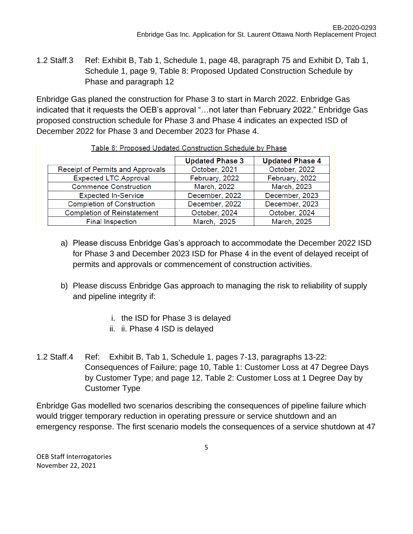1.2 Staff.3 Ref: Exhibit B, Tab 1, Schedule 1, page 48, paragraph 75 and Exhibit D, Tab 1, Schedule 1, page 9, Table 8: Proposed Updated Construction Schedule by Phase and paragraph 12

Enbridge Gas planed the construction for Phase 3 to start in March 2022. Enbridge Gas indicated that it requests the OEB's approval "…not later than February 2022." Enbridge Gas proposed construction schedule for Phase 3 and Phase 4 indicates an expected ISD of December 2022 for Phase 3 and December 2023 for Phase 4.

|                                    | <b>Updated Phase 3</b> | <b>Updated Phase 4</b> |
|------------------------------------|------------------------|------------------------|
| Receipt of Permits and Approvals   | October, 2021          | October, 2022          |
| <b>Expected LTC Approval</b>       | February, 2022         | February, 2022         |
| <b>Commence Construction</b>       | March, 2022            | March, 2023            |
| <b>Expected In-Service</b>         | December, 2022         | December, 2023         |
| <b>Completion of Construction</b>  | December, 2022         | December, 2023         |
| <b>Completion of Reinstatement</b> | October, 2024          | October, 2024          |
| <b>Final Inspection</b>            | March, 2025            | March, 2025            |

#### Table 8: Proposed Updated Construction Schedule by Phase

- a) Please discuss Enbridge Gas's approach to accommodate the December 2022 ISD for Phase 3 and December 2023 ISD for Phase 4 in the event of delayed receipt of permits and approvals or commencement of construction activities.
- b) Please discuss Enbridge Gas approach to managing the risk to reliability of supply and pipeline integrity if:
	- i. the ISD for Phase 3 is delayed
	- ii. ii. Phase 4 ISD is delayed
- 1.2 Staff.4 Ref: Exhibit B, Tab 1, Schedule 1, pages 7-13, paragraphs 13-22: Consequences of Failure; page 10, Table 1: Customer Loss at 47 Degree Days by Customer Type; and page 12, Table 2: Customer Loss at 1 Degree Day by Customer Type

Enbridge Gas modelled two scenarios describing the consequences of pipeline failure which would trigger temporary reduction in operating pressure or service shutdown and an emergency response. The first scenario models the consequences of a service shutdown at 47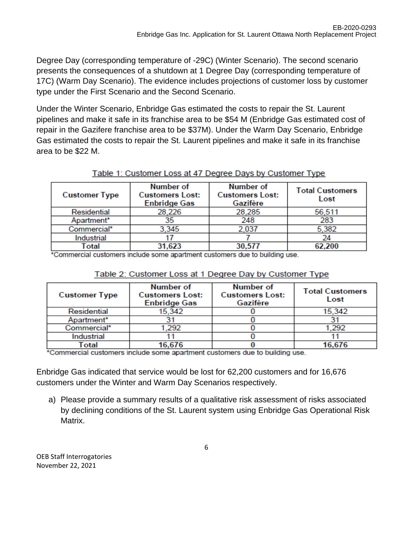Degree Day (corresponding temperature of -29C) (Winter Scenario). The second scenario presents the consequences of a shutdown at 1 Degree Day (corresponding temperature of 17C) (Warm Day Scenario). The evidence includes projections of customer loss by customer type under the First Scenario and the Second Scenario.

Under the Winter Scenario, Enbridge Gas estimated the costs to repair the St. Laurent pipelines and make it safe in its franchise area to be \$54 M (Enbridge Gas estimated cost of repair in the Gazifere franchise area to be \$37M). Under the Warm Day Scenario, Enbridge Gas estimated the costs to repair the St. Laurent pipelines and make it safe in its franchise area to be \$22 M.

| <b>Customer Type</b> | Number of<br><b>Customers Lost:</b><br><b>Enbridge Gas</b> | Number of<br><b>Customers Lost:</b><br>Gazifère | <b>Total Customers</b><br>Lost |
|----------------------|------------------------------------------------------------|-------------------------------------------------|--------------------------------|
| Residential          | 28,226                                                     | 28,285                                          | 56,511                         |
| Apartment*           | 35                                                         | 248                                             | 283                            |
| Commercial*          | 3,345                                                      | 2,037                                           | 5,382                          |
| Industrial           |                                                            |                                                 |                                |
| Total                | 31,623                                                     | 30.577                                          | 62.200                         |

#### Table 1: Customer Loss at 47 Degree Days by Customer Type

\*Commercial customers include some apartment customers due to building use.

| <b>Customer Type</b> | Number of<br><b>Customers Lost:</b><br><b>Enbridge Gas</b> | Number of<br><b>Customers Lost:</b><br>Gazifère | <b>Total Customers</b><br>Lost |
|----------------------|------------------------------------------------------------|-------------------------------------------------|--------------------------------|
| Residential          | 15,342                                                     |                                                 | 15.342                         |
| Apartment*           |                                                            |                                                 |                                |
| Commercial*          | 1,292                                                      |                                                 | 1,292                          |
| Industrial           |                                                            |                                                 |                                |
| Total                | 16,676                                                     |                                                 | 16,676                         |

\*Commercial customers include some apartment customers due to building use.

Enbridge Gas indicated that service would be lost for 62,200 customers and for 16,676 customers under the Winter and Warm Day Scenarios respectively.

a) Please provide a summary results of a qualitative risk assessment of risks associated by declining conditions of the St. Laurent system using Enbridge Gas Operational Risk Matrix.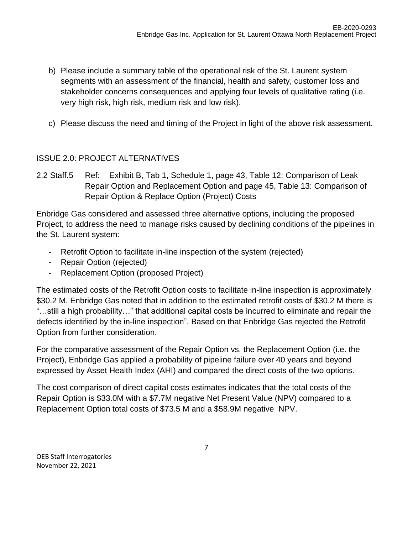- b) Please include a summary table of the operational risk of the St. Laurent system segments with an assessment of the financial, health and safety, customer loss and stakeholder concerns consequences and applying four levels of qualitative rating (i.e. very high risk, high risk, medium risk and low risk).
- c) Please discuss the need and timing of the Project in light of the above risk assessment.

#### ISSUE 2.0: PROJECT ALTERNATIVES

2.2 Staff.5 Ref: Exhibit B, Tab 1, Schedule 1, page 43, Table 12: Comparison of Leak Repair Option and Replacement Option and page 45, Table 13: Comparison of Repair Option & Replace Option (Project) Costs

Enbridge Gas considered and assessed three alternative options, including the proposed Project, to address the need to manage risks caused by declining conditions of the pipelines in the St. Laurent system:

- Retrofit Option to facilitate in-line inspection of the system (rejected)
- Repair Option (rejected)
- Replacement Option (proposed Project)

The estimated costs of the Retrofit Option costs to facilitate in-line inspection is approximately \$30.2 M. Enbridge Gas noted that in addition to the estimated retrofit costs of \$30.2 M there is "…still a high probability…" that additional capital costs be incurred to eliminate and repair the defects identified by the in-line inspection". Based on that Enbridge Gas rejected the Retrofit Option from further consideration.

For the comparative assessment of the Repair Option vs. the Replacement Option (i.e. the Project), Enbridge Gas applied a probability of pipeline failure over 40 years and beyond expressed by Asset Health Index (AHI) and compared the direct costs of the two options.

The cost comparison of direct capital costs estimates indicates that the total costs of the Repair Option is \$33.0M with a \$7.7M negative Net Present Value (NPV) compared to a Replacement Option total costs of \$73.5 M and a \$58.9M negative NPV.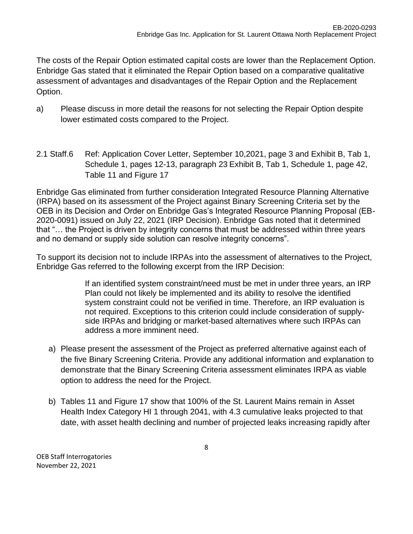The costs of the Repair Option estimated capital costs are lower than the Replacement Option. Enbridge Gas stated that it eliminated the Repair Option based on a comparative qualitative assessment of advantages and disadvantages of the Repair Option and the Replacement Option.

- a) Please discuss in more detail the reasons for not selecting the Repair Option despite lower estimated costs compared to the Project.
- 2.1 Staff.6 Ref: Application Cover Letter, September 10,2021, page 3 and Exhibit B, Tab 1, Schedule 1, pages 12-13, paragraph 23 Exhibit B, Tab 1, Schedule 1, page 42, Table 11 and Figure 17

Enbridge Gas eliminated from further consideration Integrated Resource Planning Alternative (IRPA) based on its assessment of the Project against Binary Screening Criteria set by the OEB in its Decision and Order on Enbridge Gas's Integrated Resource Planning Proposal (EB-2020-0091) issued on July 22, 2021 (IRP Decision). Enbridge Gas noted that it determined that "… the Project is driven by integrity concerns that must be addressed within three years and no demand or supply side solution can resolve integrity concerns".

To support its decision not to include IRPAs into the assessment of alternatives to the Project, Enbridge Gas referred to the following excerpt from the IRP Decision:

> If an identified system constraint/need must be met in under three years, an IRP Plan could not likely be implemented and its ability to resolve the identified system constraint could not be verified in time. Therefore, an IRP evaluation is not required. Exceptions to this criterion could include consideration of supplyside IRPAs and bridging or market-based alternatives where such IRPAs can address a more imminent need.

- a) Please present the assessment of the Project as preferred alternative against each of the five Binary Screening Criteria. Provide any additional information and explanation to demonstrate that the Binary Screening Criteria assessment eliminates IRPA as viable option to address the need for the Project.
- b) Tables 11 and Figure 17 show that 100% of the St. Laurent Mains remain in Asset Health Index Category HI 1 through 2041, with 4.3 cumulative leaks projected to that date, with asset health declining and number of projected leaks increasing rapidly after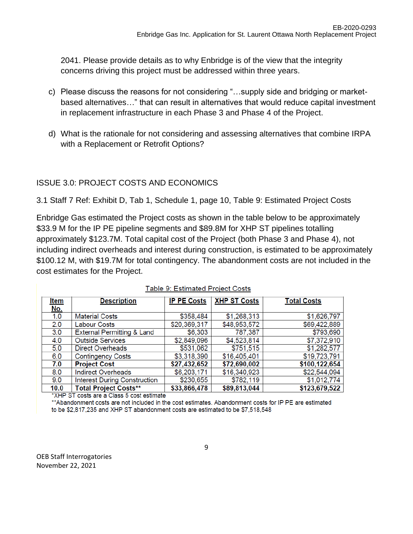2041. Please provide details as to why Enbridge is of the view that the integrity concerns driving this project must be addressed within three years.

- c) Please discuss the reasons for not considering "…supply side and bridging or marketbased alternatives…" that can result in alternatives that would reduce capital investment in replacement infrastructure in each Phase 3 and Phase 4 of the Project.
- d) What is the rationale for not considering and assessing alternatives that combine IRPA with a Replacement or Retrofit Options?

### ISSUE 3.0: PROJECT COSTS AND ECONOMICS

3.1 Staff 7 Ref: Exhibit D, Tab 1, Schedule 1, page 10, Table 9: Estimated Project Costs

Enbridge Gas estimated the Project costs as shown in the table below to be approximately \$33.9 M for the IP PE pipeline segments and \$89.8M for XHP ST pipelines totalling approximately \$123.7M. Total capital cost of the Project (both Phase 3 and Phase 4), not including indirect overheads and interest during construction, is estimated to be approximately \$100.12 M, with \$19.7M for total contingency. The abandonment costs are not included in the cost estimates for the Project.

| <u>Item</u> | <b>Description</b>                    | <b>IP PE Costs</b> | <b>XHP ST Costs</b> | <b>Total Costs</b> |
|-------------|---------------------------------------|--------------------|---------------------|--------------------|
| <u>No.</u>  |                                       |                    |                     |                    |
| 1.0         | <b>Material Costs</b>                 | \$358,484          | \$1,268,313         | \$1,626,797        |
| 2.0         | Labour Costs                          | \$20,369,317       | \$48,953,572        | \$69,422,889       |
| 3.0         | <b>External Permitting &amp; Land</b> | \$6,303            | 787,387             | \$793,690          |
| 4.0         | <b>Outside Services</b>               | \$2,849,096        | \$4,523,814         | \$7,372,910        |
| 5.0         | <b>Direct Overheads</b>               | \$531,062          | \$751,515           | \$1,282,577        |
| 6.0         | <b>Contingency Costs</b>              | \$3,318,390        | \$16,405,401        | \$19,723,791       |
| 7.0         | <b>Project Cost</b>                   | \$27,432,652       | \$72,690,002        | \$100,122,654      |
| 8.0         | <b>Indirect Overheads</b>             | \$6,203,171        | \$16,340,923        | \$22,544,094       |
| 9.0         | <b>Interest During Construction</b>   | \$230,655          | \$782,119           | \$1,012,774        |
| 10.0        | <b>Total Project Costs**</b>          | \$33,866,478       | \$89,813,044        | \$123,679,522      |

| Table 9: Estimated Project Costs |  |
|----------------------------------|--|
|                                  |  |

\*XHP ST costs are a Class 5 cost estimate

\*\*Abandonment costs are not included in the cost estimates. Abandonment costs for IP PE are estimated to be \$2,817,235 and XHP ST abandonment costs are estimated to be \$7,518,548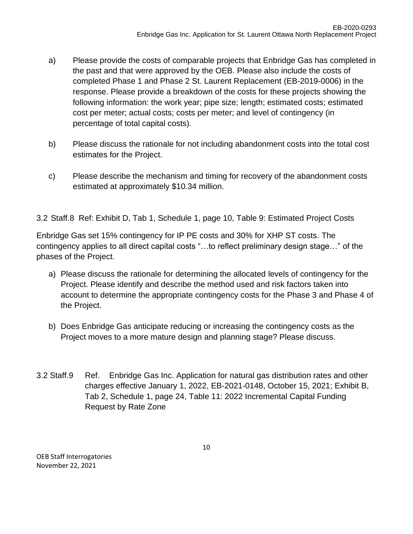- a) Please provide the costs of comparable projects that Enbridge Gas has completed in the past and that were approved by the OEB. Please also include the costs of completed Phase 1 and Phase 2 St. Laurent Replacement (EB-2019-0006) in the response. Please provide a breakdown of the costs for these projects showing the following information: the work year; pipe size; length; estimated costs; estimated cost per meter; actual costs; costs per meter; and level of contingency (in percentage of total capital costs).
- b) Please discuss the rationale for not including abandonment costs into the total cost estimates for the Project.
- c) Please describe the mechanism and timing for recovery of the abandonment costs estimated at approximately \$10.34 million.

3.2 Staff.8 Ref: Exhibit D, Tab 1, Schedule 1, page 10, Table 9: Estimated Project Costs

Enbridge Gas set 15% contingency for IP PE costs and 30% for XHP ST costs. The contingency applies to all direct capital costs "…to reflect preliminary design stage…" of the phases of the Project.

- a) Please discuss the rationale for determining the allocated levels of contingency for the Project. Please identify and describe the method used and risk factors taken into account to determine the appropriate contingency costs for the Phase 3 and Phase 4 of the Project.
- b) Does Enbridge Gas anticipate reducing or increasing the contingency costs as the Project moves to a more mature design and planning stage? Please discuss.
- 3.2 Staff.9 Ref. Enbridge Gas Inc. Application for natural gas distribution rates and other charges effective January 1, 2022, EB-2021-0148, October 15, 2021; Exhibit B, Tab 2, Schedule 1, page 24, Table 11: 2022 Incremental Capital Funding Request by Rate Zone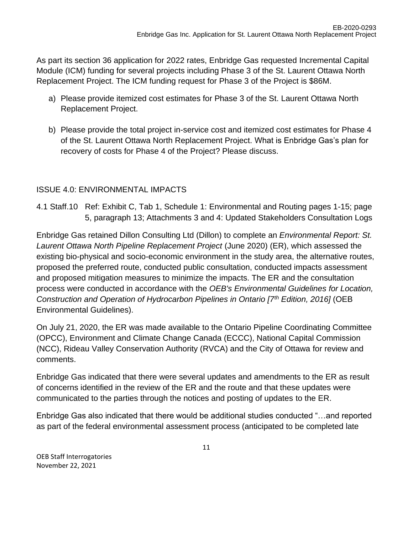As part its section 36 application for 2022 rates, Enbridge Gas requested Incremental Capital Module (ICM) funding for several projects including Phase 3 of the St. Laurent Ottawa North Replacement Project. The ICM funding request for Phase 3 of the Project is \$86M.

- a) Please provide itemized cost estimates for Phase 3 of the St. Laurent Ottawa North Replacement Project.
- b) Please provide the total project in-service cost and itemized cost estimates for Phase 4 of the St. Laurent Ottawa North Replacement Project. What is Enbridge Gas's plan for recovery of costs for Phase 4 of the Project? Please discuss.

### ISSUE 4.0: ENVIRONMENTAL IMPACTS

4.1 Staff.10 Ref: Exhibit C, Tab 1, Schedule 1: Environmental and Routing pages 1-15; page 5, paragraph 13; Attachments 3 and 4: Updated Stakeholders Consultation Logs

Enbridge Gas retained Dillon Consulting Ltd (Dillon) to complete an *Environmental Report: St. Laurent Ottawa North Pipeline Replacement Project* (June 2020) (ER), which assessed the existing bio-physical and socio-economic environment in the study area, the alternative routes, proposed the preferred route, conducted public consultation, conducted impacts assessment and proposed mitigation measures to minimize the impacts. The ER and the consultation process were conducted in accordance with the *OEB's Environmental Guidelines for Location, Construction and Operation of Hydrocarbon Pipelines in Ontario [7th Edition, 2016]* (OEB Environmental Guidelines).

On July 21, 2020, the ER was made available to the Ontario Pipeline Coordinating Committee (OPCC), Environment and Climate Change Canada (ECCC), National Capital Commission (NCC), Rideau Valley Conservation Authority (RVCA) and the City of Ottawa for review and comments.

Enbridge Gas indicated that there were several updates and amendments to the ER as result of concerns identified in the review of the ER and the route and that these updates were communicated to the parties through the notices and posting of updates to the ER.

Enbridge Gas also indicated that there would be additional studies conducted "…and reported as part of the federal environmental assessment process (anticipated to be completed late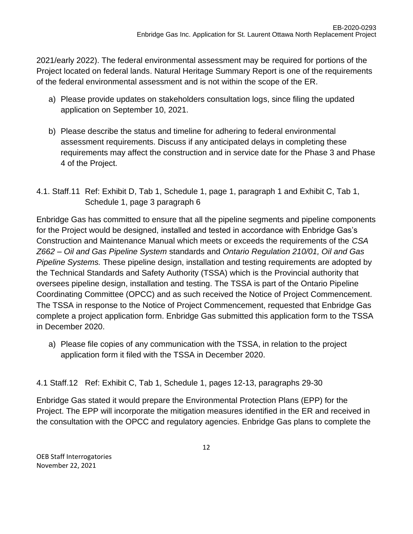2021/early 2022). The federal environmental assessment may be required for portions of the Project located on federal lands. Natural Heritage Summary Report is one of the requirements of the federal environmental assessment and is not within the scope of the ER.

- a) Please provide updates on stakeholders consultation logs, since filing the updated application on September 10, 2021.
- b) Please describe the status and timeline for adhering to federal environmental assessment requirements. Discuss if any anticipated delays in completing these requirements may affect the construction and in service date for the Phase 3 and Phase 4 of the Project.
- 4.1. Staff.11 Ref: Exhibit D, Tab 1, Schedule 1, page 1, paragraph 1 and Exhibit C, Tab 1, Schedule 1, page 3 paragraph 6

Enbridge Gas has committed to ensure that all the pipeline segments and pipeline components for the Project would be designed, installed and tested in accordance with Enbridge Gas's Construction and Maintenance Manual which meets or exceeds the requirements of the *CSA Z662 – Oil and Gas Pipeline System* standards and *Ontario Regulation 210/01, Oil and Gas Pipeline Systems.* These pipeline design, installation and testing requirements are adopted by the Technical Standards and Safety Authority (TSSA) which is the Provincial authority that oversees pipeline design, installation and testing. The TSSA is part of the Ontario Pipeline Coordinating Committee (OPCC) and as such received the Notice of Project Commencement. The TSSA in response to the Notice of Project Commencement, requested that Enbridge Gas complete a project application form. Enbridge Gas submitted this application form to the TSSA in December 2020.

a) Please file copies of any communication with the TSSA, in relation to the project application form it filed with the TSSA in December 2020.

4.1 Staff.12 Ref: Exhibit C, Tab 1, Schedule 1, pages 12-13, paragraphs 29-30

Enbridge Gas stated it would prepare the Environmental Protection Plans (EPP) for the Project. The EPP will incorporate the mitigation measures identified in the ER and received in the consultation with the OPCC and regulatory agencies. Enbridge Gas plans to complete the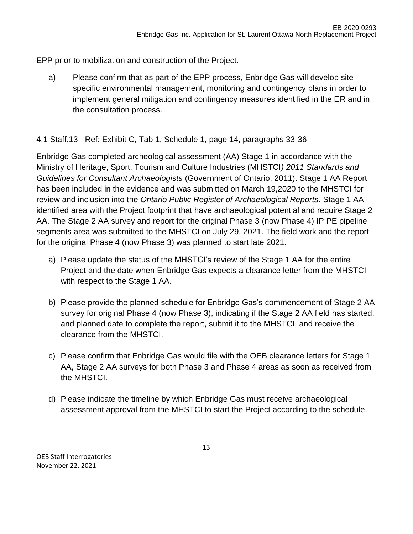EPP prior to mobilization and construction of the Project.

a) Please confirm that as part of the EPP process, Enbridge Gas will develop site specific environmental management, monitoring and contingency plans in order to implement general mitigation and contingency measures identified in the ER and in the consultation process.

## 4.1 Staff.13 Ref: Exhibit C, Tab 1, Schedule 1, page 14, paragraphs 33-36

Enbridge Gas completed archeological assessment (AA) Stage 1 in accordance with the Ministry of Heritage, Sport, Tourism and Culture Industries (MHSTCI*) 2011 Standards and Guidelines for Consultant Archaeologists* (Government of Ontario, 2011). Stage 1 AA Report has been included in the evidence and was submitted on March 19,2020 to the MHSTCI for review and inclusion into the *Ontario Public Register of Archaeological Reports*. Stage 1 AA identified area with the Project footprint that have archaeological potential and require Stage 2 AA. The Stage 2 AA survey and report for the original Phase 3 (now Phase 4) IP PE pipeline segments area was submitted to the MHSTCI on July 29, 2021. The field work and the report for the original Phase 4 (now Phase 3) was planned to start late 2021.

- a) Please update the status of the MHSTCI's review of the Stage 1 AA for the entire Project and the date when Enbridge Gas expects a clearance letter from the MHSTCI with respect to the Stage 1 AA.
- b) Please provide the planned schedule for Enbridge Gas's commencement of Stage 2 AA survey for original Phase 4 (now Phase 3), indicating if the Stage 2 AA field has started, and planned date to complete the report, submit it to the MHSTCI, and receive the clearance from the MHSTCI.
- c) Please confirm that Enbridge Gas would file with the OEB clearance letters for Stage 1 AA, Stage 2 AA surveys for both Phase 3 and Phase 4 areas as soon as received from the MHSTCI.
- d) Please indicate the timeline by which Enbridge Gas must receive archaeological assessment approval from the MHSTCI to start the Project according to the schedule.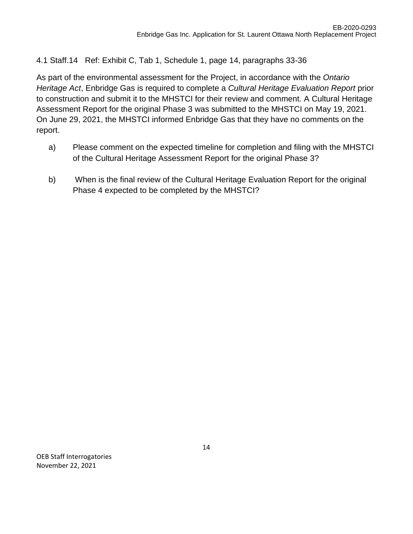### 4.1 Staff.14 Ref: Exhibit C, Tab 1, Schedule 1, page 14, paragraphs 33-36

As part of the environmental assessment for the Project, in accordance with the *Ontario Heritage Act*, Enbridge Gas is required to complete a *Cultural Heritage Evaluation Report* prior to construction and submit it to the MHSTCI for their review and comment. A Cultural Heritage Assessment Report for the original Phase 3 was submitted to the MHSTCI on May 19, 2021. On June 29, 2021, the MHSTCI informed Enbridge Gas that they have no comments on the report.

- a) Please comment on the expected timeline for completion and filing with the MHSTCI of the Cultural Heritage Assessment Report for the original Phase 3?
- b) When is the final review of the Cultural Heritage Evaluation Report for the original Phase 4 expected to be completed by the MHSTCI?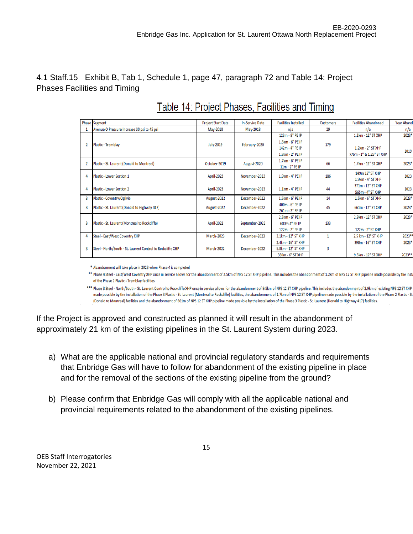#### 4.1 Staff.15 Exhibit B, Tab 1, Schedule 1, page 47, paragraph 72 and Table 14: Project Phases Facilities and Timing

|   | <b>Phase Segment</b>                                        | <b>Project Start Date</b> | <b>In-Service Date</b> | <b>Facilities Installed</b> | <b>Customers</b> | <b>Facilities Abandoned</b> | <b>Year Aband</b> |
|---|-------------------------------------------------------------|---------------------------|------------------------|-----------------------------|------------------|-----------------------------|-------------------|
|   | Avenue O Pressure Increase 30 psi to 45 psi                 | May-2018                  | May-2018               | n/a                         | 29               | n/a                         | n/a               |
|   |                                                             |                           |                        | 123m - 8" PE IP             |                  | 1.2km - 12" ST XHP          | 2023*             |
|   | Plastic - Tremblay                                          | <b>July-2019</b>          | February-2020          | 1.3km - 6" PE IP            | 179              |                             |                   |
|   |                                                             |                           |                        | 142m - 4" PE IP             |                  | $1.2km - 2"$ ST XHP         | 2019              |
|   |                                                             |                           |                        | 1.8km - 2" PE IP            |                  | 776m - 1" & 1.25" ST XHP    |                   |
|   |                                                             | October-2019              |                        | 1.7km - 6" PE IP            | 66               | 1.7km - 12" ST XHP          | 2023*             |
|   | Plastic - St. Laurent (Donald to Montreal)                  |                           | August-2020            | 11m - 2" PE IP              |                  |                             |                   |
|   | Plastic - Lower Section 1                                   | <b>April-2023</b>         | November-2023          | 1.9km - 4" PE IP            | 186              | 149m 12" ST XHP             | 2023              |
|   |                                                             |                           |                        |                             |                  | 1.9km - 4" ST XHP           |                   |
|   |                                                             |                           | November-2023          | $1.1km - 4n$ PE IP          | 44               | 371m - 12" ST XHP           | 2023              |
|   | <b>Plastic - Lower Section 2</b>                            | <b>April-2023</b>         |                        |                             |                  | 565m - 4" ST XHP            |                   |
|   | Plastic - Coventry/Ogilvie                                  | August-2022               | December-2022          | 1.5km - 6" PE IP            | 14               | 1.5km - 6" ST XHP           | 2023*             |
| 3 |                                                             | August-2022               | December-2022          | 400m - 6" PE IP             | 45               | 661m - 12" ST XHP           | 2023*             |
|   | Plastic - St. Laurent (Donald to Highway 417)               |                           |                        | 261m - 2" PE IP             |                  |                             |                   |
|   |                                                             |                           |                        | 2.3km - 6" PE IP            |                  | 2.9km - 12" ST XHP          | 2023*             |
| 3 | Plastic - St. Laurent (Montreal to Rockcliffe)              | <b>April-2022</b>         | September-2022         | 600m 4" PE IP               | 133              |                             |                   |
|   |                                                             |                           |                        | 122m - 2" PE IP             |                  | 122m - 2" ST XHP            |                   |
|   | Steel - East/West Coventry XHP                              | March-2023                | December-2023          | 3.1km - 12" ST XHP          |                  | 2.5 km - 12" ST XHP         | 2023*             |
|   |                                                             |                           |                        | 2.4km - 16" ST XHP          |                  | 398m - 16" ST XHP           | 2023*             |
| 3 | Steel - North/South - St. Laurent Control to Rockcliffe XHP | March-2022                | December-2022          | 5.8km - 12" ST XHP          | 3                |                             |                   |
|   |                                                             |                           |                        | 330m - 6" ST XHP            |                  | 9.5km - 12" ST XHP          | 2023**            |

# Table 14: Project Phases, Facilities and Timing

\* Abandonment will take place in 2023 when Phase 4 is completed

\*\* Phase 4 Steel - East/West Coventry XHP once in service allows for the abandonment of 2.5km of NPS 12 ST XHP pipeline. This includes the abandonment of 1.2km of NPS 12 ST XHP pipeline made possible by the inst of the Phase 2 Plastic - Tremblay facilities.

\*\*\* Phase 3 Steel - North/South - St. Laurent Control to Rockcliffe XHP once in service allows for the abandonment of 9.5km of NPS 12 ST XHP pipeline. This includes the abandonment of 2.9km of existing NPS 12 ST XHP made possible by the installation of the Phase 3 Plastic - St. Laurent (Montreal to Rockcliffe) facilities, the abandonment of 1.7km of NPS 12 ST XHP pipeline made possible by the installation of the Phase 2 Plastic - St (Donald to Montreal) facilities and the abandonment of 661m of NPS 12 ST XHP pipeline made possible by the installation of the Phase 3 Plastic - St. Laurent (Donald to Highway 417) facilities.

If the Project is approved and constructed as planned it will result in the abandonment of approximately 21 km of the existing pipelines in the St. Laurent System during 2023.

- a) What are the applicable national and provincial regulatory standards and requirements that Enbridge Gas will have to follow for abandonment of the existing pipeline in place and for the removal of the sections of the existing pipeline from the ground?
- b) Please confirm that Enbridge Gas will comply with all the applicable national and provincial requirements related to the abandonment of the existing pipelines.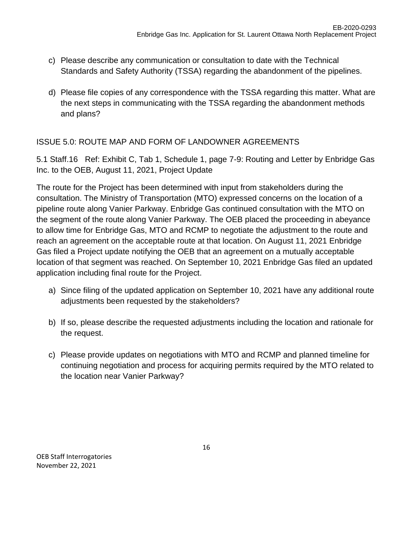- c) Please describe any communication or consultation to date with the Technical Standards and Safety Authority (TSSA) regarding the abandonment of the pipelines.
- d) Please file copies of any correspondence with the TSSA regarding this matter. What are the next steps in communicating with the TSSA regarding the abandonment methods and plans?

### ISSUE 5.0: ROUTE MAP AND FORM OF LANDOWNER AGREEMENTS

5.1 Staff.16 Ref: Exhibit C, Tab 1, Schedule 1, page 7-9: Routing and Letter by Enbridge Gas Inc. to the OEB, August 11, 2021, Project Update

The route for the Project has been determined with input from stakeholders during the consultation. The Ministry of Transportation (MTO) expressed concerns on the location of a pipeline route along Vanier Parkway. Enbridge Gas continued consultation with the MTO on the segment of the route along Vanier Parkway. The OEB placed the proceeding in abeyance to allow time for Enbridge Gas, MTO and RCMP to negotiate the adjustment to the route and reach an agreement on the acceptable route at that location. On August 11, 2021 Enbridge Gas filed a Project update notifying the OEB that an agreement on a mutually acceptable location of that segment was reached. On September 10, 2021 Enbridge Gas filed an updated application including final route for the Project.

- a) Since filing of the updated application on September 10, 2021 have any additional route adjustments been requested by the stakeholders?
- b) If so, please describe the requested adjustments including the location and rationale for the request.
- c) Please provide updates on negotiations with MTO and RCMP and planned timeline for continuing negotiation and process for acquiring permits required by the MTO related to the location near Vanier Parkway?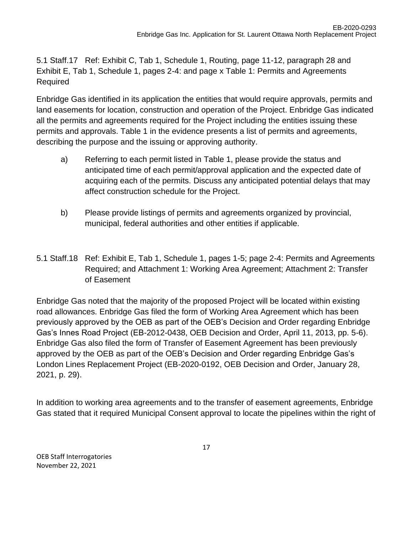5.1 Staff.17 Ref: Exhibit C, Tab 1, Schedule 1, Routing, page 11-12, paragraph 28 and Exhibit E, Tab 1, Schedule 1, pages 2-4: and page x Table 1: Permits and Agreements Required

Enbridge Gas identified in its application the entities that would require approvals, permits and land easements for location, construction and operation of the Project. Enbridge Gas indicated all the permits and agreements required for the Project including the entities issuing these permits and approvals. Table 1 in the evidence presents a list of permits and agreements, describing the purpose and the issuing or approving authority.

- a) Referring to each permit listed in Table 1, please provide the status and anticipated time of each permit/approval application and the expected date of acquiring each of the permits. Discuss any anticipated potential delays that may affect construction schedule for the Project.
- b) Please provide listings of permits and agreements organized by provincial, municipal, federal authorities and other entities if applicable.
- 5.1 Staff.18 Ref: Exhibit E, Tab 1, Schedule 1, pages 1-5; page 2-4: Permits and Agreements Required; and Attachment 1: Working Area Agreement; Attachment 2: Transfer of Easement

Enbridge Gas noted that the majority of the proposed Project will be located within existing road allowances. Enbridge Gas filed the form of Working Area Agreement which has been previously approved by the OEB as part of the OEB's Decision and Order regarding Enbridge Gas's Innes Road Project (EB-2012-0438, OEB Decision and Order, April 11, 2013, pp. 5-6). Enbridge Gas also filed the form of Transfer of Easement Agreement has been previously approved by the OEB as part of the OEB's Decision and Order regarding Enbridge Gas's London Lines Replacement Project (EB-2020-0192, OEB Decision and Order, January 28, 2021, p. 29).

In addition to working area agreements and to the transfer of easement agreements, Enbridge Gas stated that it required Municipal Consent approval to locate the pipelines within the right of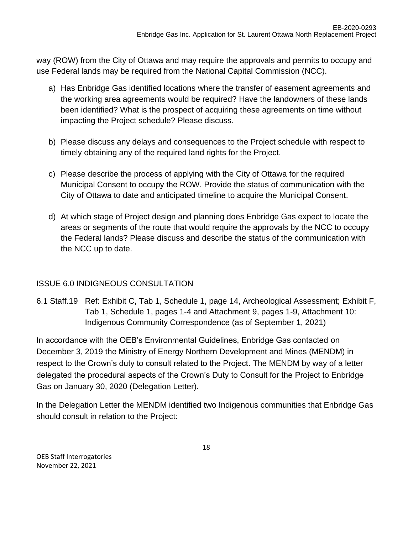way (ROW) from the City of Ottawa and may require the approvals and permits to occupy and use Federal lands may be required from the National Capital Commission (NCC).

- a) Has Enbridge Gas identified locations where the transfer of easement agreements and the working area agreements would be required? Have the landowners of these lands been identified? What is the prospect of acquiring these agreements on time without impacting the Project schedule? Please discuss.
- b) Please discuss any delays and consequences to the Project schedule with respect to timely obtaining any of the required land rights for the Project.
- c) Please describe the process of applying with the City of Ottawa for the required Municipal Consent to occupy the ROW. Provide the status of communication with the City of Ottawa to date and anticipated timeline to acquire the Municipal Consent.
- d) At which stage of Project design and planning does Enbridge Gas expect to locate the areas or segments of the route that would require the approvals by the NCC to occupy the Federal lands? Please discuss and describe the status of the communication with the NCC up to date.

## ISSUE 6.0 INDIGNEOUS CONSULTATION

6.1 Staff.19 Ref: Exhibit C, Tab 1, Schedule 1, page 14, Archeological Assessment; Exhibit F, Tab 1, Schedule 1, pages 1-4 and Attachment 9, pages 1-9, Attachment 10: Indigenous Community Correspondence (as of September 1, 2021)

In accordance with the OEB's Environmental Guidelines, Enbridge Gas contacted on December 3, 2019 the Ministry of Energy Northern Development and Mines (MENDM) in respect to the Crown's duty to consult related to the Project. The MENDM by way of a letter delegated the procedural aspects of the Crown's Duty to Consult for the Project to Enbridge Gas on January 30, 2020 (Delegation Letter).

In the Delegation Letter the MENDM identified two Indigenous communities that Enbridge Gas should consult in relation to the Project: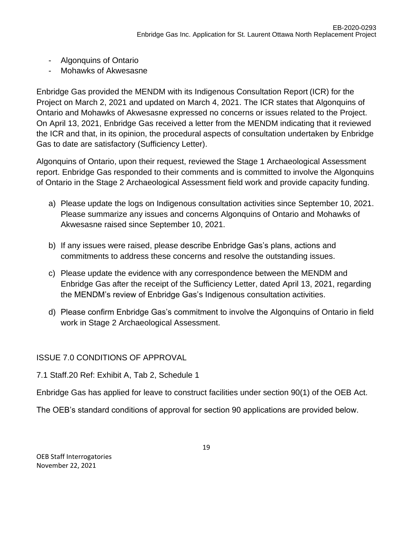- Algonquins of Ontario
- Mohawks of Akwesasne

Enbridge Gas provided the MENDM with its Indigenous Consultation Report (ICR) for the Project on March 2, 2021 and updated on March 4, 2021. The ICR states that Algonquins of Ontario and Mohawks of Akwesasne expressed no concerns or issues related to the Project. On April 13, 2021, Enbridge Gas received a letter from the MENDM indicating that it reviewed the ICR and that, in its opinion, the procedural aspects of consultation undertaken by Enbridge Gas to date are satisfactory (Sufficiency Letter).

Algonquins of Ontario, upon their request, reviewed the Stage 1 Archaeological Assessment report. Enbridge Gas responded to their comments and is committed to involve the Algonquins of Ontario in the Stage 2 Archaeological Assessment field work and provide capacity funding.

- a) Please update the logs on Indigenous consultation activities since September 10, 2021. Please summarize any issues and concerns Algonquins of Ontario and Mohawks of Akwesasne raised since September 10, 2021.
- b) If any issues were raised, please describe Enbridge Gas's plans, actions and commitments to address these concerns and resolve the outstanding issues.
- c) Please update the evidence with any correspondence between the MENDM and Enbridge Gas after the receipt of the Sufficiency Letter, dated April 13, 2021, regarding the MENDM's review of Enbridge Gas's Indigenous consultation activities.
- d) Please confirm Enbridge Gas's commitment to involve the Algonquins of Ontario in field work in Stage 2 Archaeological Assessment.

ISSUE 7.0 CONDITIONS OF APPROVAL

7.1 Staff.20 Ref: Exhibit A, Tab 2, Schedule 1

Enbridge Gas has applied for leave to construct facilities under section 90(1) of the OEB Act.

The OEB's standard conditions of approval for section 90 applications are provided below.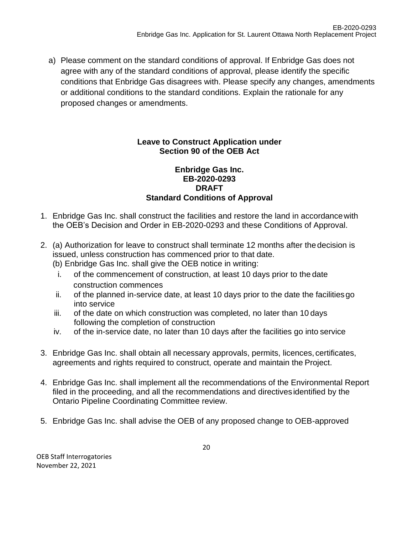a) Please comment on the standard conditions of approval. If Enbridge Gas does not agree with any of the standard conditions of approval, please identify the specific conditions that Enbridge Gas disagrees with. Please specify any changes, amendments or additional conditions to the standard conditions. Explain the rationale for any proposed changes or amendments.

#### **Leave to Construct Application under Section 90 of the OEB Act**

#### **Enbridge Gas Inc. EB-2020-0293 DRAFT Standard Conditions of Approval**

- 1. Enbridge Gas Inc. shall construct the facilities and restore the land in accordancewith the OEB's Decision and Order in EB-2020-0293 and these Conditions of Approval.
- 2. (a) Authorization for leave to construct shall terminate 12 months after thedecision is issued, unless construction has commenced prior to that date. (b) Enbridge Gas Inc. shall give the OEB notice in writing:
	- i. of the commencement of construction, at least 10 days prior to the date construction commences
	- ii. of the planned in-service date, at least 10 days prior to the date the facilitiesgo into service
	- iii. of the date on which construction was completed, no later than 10 days following the completion of construction
	- iv. of the in-service date, no later than 10 days after the facilities go into service
- 3. Enbridge Gas Inc. shall obtain all necessary approvals, permits, licences, certificates, agreements and rights required to construct, operate and maintain the Project.
- 4. Enbridge Gas Inc. shall implement all the recommendations of the Environmental Report filed in the proceeding, and all the recommendations and directives identified by the Ontario Pipeline Coordinating Committee review.
- 5. Enbridge Gas Inc. shall advise the OEB of any proposed change to OEB-approved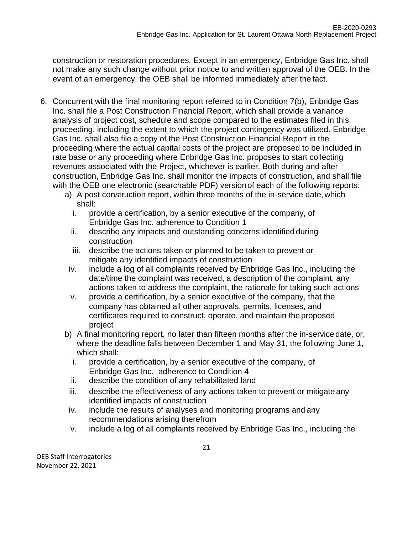construction or restoration procedures. Except in an emergency, Enbridge Gas Inc. shall not make any such change without prior notice to and written approval of the OEB. In the event of an emergency, the OEB shall be informed immediately after the fact.

- 6. Concurrent with the final monitoring report referred to in Condition 7(b), Enbridge Gas Inc. shall file a Post Construction Financial Report, which shall provide a variance analysis of project cost, schedule and scope compared to the estimates filed in this proceeding, including the extent to which the project contingency was utilized. Enbridge Gas Inc. shall also file a copy of the Post Construction Financial Report in the proceeding where the actual capital costs of the project are proposed to be included in rate base or any proceeding where Enbridge Gas Inc. proposes to start collecting revenues associated with the Project, whichever is earlier. Both during and after construction, Enbridge Gas Inc. shall monitor the impacts of construction, and shall file with the OEB one electronic (searchable PDF) version of each of the following reports:
	- a) A post construction report, within three months of the in-service date, which shall:
		- i. provide a certification, by a senior executive of the company, of Enbridge Gas Inc. adherence to Condition 1
		- ii. describe any impacts and outstanding concerns identified during construction
		- iii. describe the actions taken or planned to be taken to prevent or mitigate any identified impacts of construction
	- iv. include a log of all complaints received by Enbridge Gas Inc., including the date/time the complaint was received, a description of the complaint, any actions taken to address the complaint, the rationale for taking such actions
	- v. provide a certification, by a senior executive of the company, that the company has obtained all other approvals, permits, licenses, and certificates required to construct, operate, and maintain the proposed project
	- b) A final monitoring report, no later than fifteen months after the in-servicedate, or, where the deadline falls between December 1 and May 31, the following June 1, which shall:
		- i. provide a certification, by a senior executive of the company, of Enbridge Gas Inc. adherence to Condition 4
		- ii. describe the condition of any rehabilitated land
	- iii. describe the effectiveness of any actions taken to prevent or mitigate any identified impacts of construction
	- iv. include the results of analyses and monitoring programs and any recommendations arising therefrom
	- v. include a log of all complaints received by Enbridge Gas Inc., including the